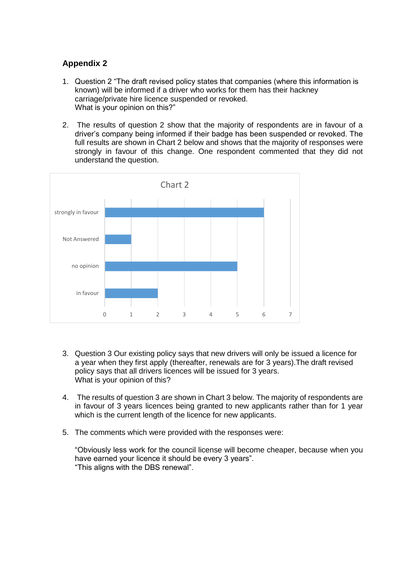## **Appendix 2**

- 1. Question 2 "The draft revised policy states that companies (where this information is known) will be informed if a driver who works for them has their hackney carriage/private hire licence suspended or revoked. What is your opinion on this?"
- 2. The results of question 2 show that the majority of respondents are in favour of a driver's company being informed if their badge has been suspended or revoked. The full results are shown in Chart 2 below and shows that the majority of responses were strongly in favour of this change. One respondent commented that they did not understand the question.



- 3. Question 3 Our existing policy says that new drivers will only be issued a licence for a year when they first apply (thereafter, renewals are for 3 years).The draft revised policy says that all drivers licences will be issued for 3 years. What is your opinion of this?
- 4. The results of question 3 are shown in Chart 3 below. The majority of respondents are in favour of 3 years licences being granted to new applicants rather than for 1 year which is the current length of the licence for new applicants.
- 5. The comments which were provided with the responses were:

"Obviously less work for the council license will become cheaper, because when you have earned your licence it should be every 3 years". "This aligns with the DBS renewal".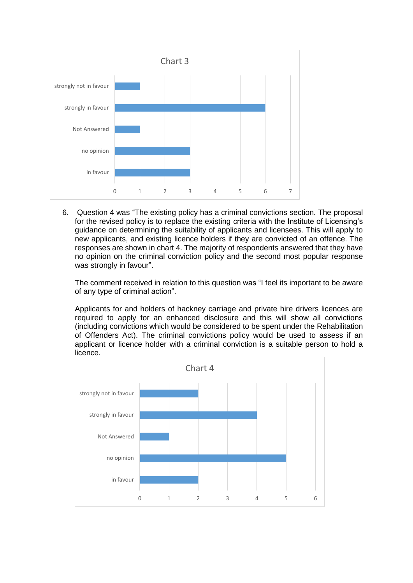

6. Question 4 was "The existing policy has a criminal convictions section. The proposal for the revised policy is to replace the existing criteria with the Institute of Licensing's guidance on determining the suitability of applicants and licensees. This will apply to new applicants, and existing licence holders if they are convicted of an offence. The responses are shown in chart 4. The majority of respondents answered that they have no opinion on the criminal conviction policy and the second most popular response was strongly in favour".

The comment received in relation to this question was "I feel its important to be aware of any type of criminal action".

Applicants for and holders of hackney carriage and private hire drivers licences are required to apply for an enhanced disclosure and this will show all convictions (including convictions which would be considered to be spent under the Rehabilitation of Offenders Act). The criminal convictions policy would be used to assess if an applicant or licence holder with a criminal conviction is a suitable person to hold a licence.

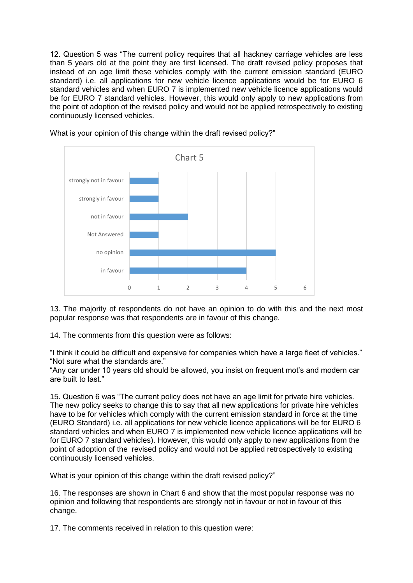12. Question 5 was "The current policy requires that all hackney carriage vehicles are less than 5 years old at the point they are first licensed. The draft revised policy proposes that instead of an age limit these vehicles comply with the current emission standard (EURO standard) i.e. all applications for new vehicle licence applications would be for EURO 6 standard vehicles and when EURO 7 is implemented new vehicle licence applications would be for EURO 7 standard vehicles. However, this would only apply to new applications from the point of adoption of the revised policy and would not be applied retrospectively to existing continuously licensed vehicles.



What is your opinion of this change within the draft revised policy?"

13. The majority of respondents do not have an opinion to do with this and the next most popular response was that respondents are in favour of this change.

14. The comments from this question were as follows:

"I think it could be difficult and expensive for companies which have a large fleet of vehicles." "Not sure what the standards are."

"Any car under 10 years old should be allowed, you insist on frequent mot's and modern car are built to last."

15. Question 6 was "The current policy does not have an age limit for private hire vehicles. The new policy seeks to change this to say that all new applications for private hire vehicles have to be for vehicles which comply with the current emission standard in force at the time (EURO Standard) i.e. all applications for new vehicle licence applications will be for EURO 6 standard vehicles and when EURO 7 is implemented new vehicle licence applications will be for EURO 7 standard vehicles). However, this would only apply to new applications from the point of adoption of the revised policy and would not be applied retrospectively to existing continuously licensed vehicles.

What is your opinion of this change within the draft revised policy?"

16. The responses are shown in Chart 6 and show that the most popular response was no opinion and following that respondents are strongly not in favour or not in favour of this change.

17. The comments received in relation to this question were: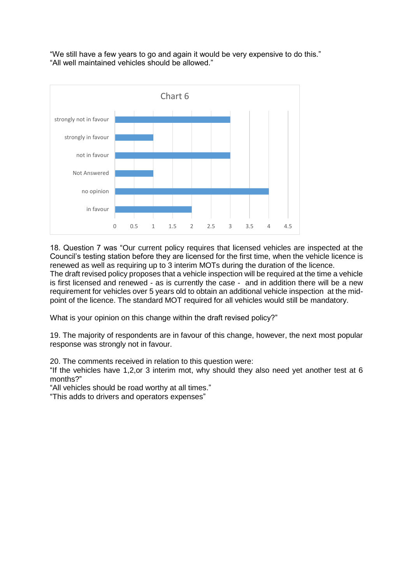"We still have a few years to go and again it would be very expensive to do this." "All well maintained vehicles should be allowed."



18. Question 7 was "Our current policy requires that licensed vehicles are inspected at the Council's testing station before they are licensed for the first time, when the vehicle licence is renewed as well as requiring up to 3 interim MOTs during the duration of the licence. The draft revised policy proposes that a vehicle inspection will be required at the time a vehicle is first licensed and renewed - as is currently the case - and in addition there will be a new requirement for vehicles over 5 years old to obtain an additional vehicle inspection at the midpoint of the licence. The standard MOT required for all vehicles would still be mandatory.

What is your opinion on this change within the draft revised policy?"

19. The majority of respondents are in favour of this change, however, the next most popular response was strongly not in favour.

20. The comments received in relation to this question were:

"If the vehicles have 1,2,or 3 interim mot, why should they also need yet another test at 6 months?"

"All vehicles should be road worthy at all times."

"This adds to drivers and operators expenses"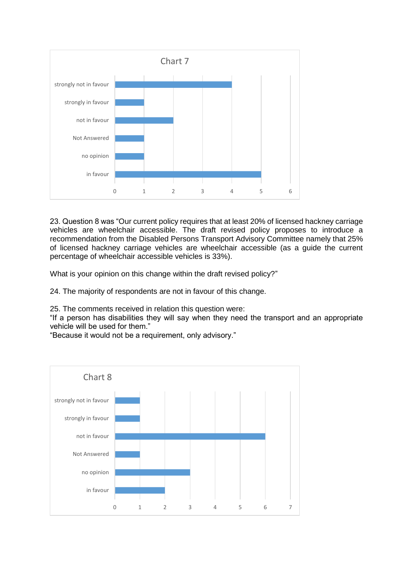

23. Question 8 was "Our current policy requires that at least 20% of licensed hackney carriage vehicles are wheelchair accessible. The draft revised policy proposes to introduce a recommendation from the Disabled Persons Transport Advisory Committee namely that 25% of licensed hackney carriage vehicles are wheelchair accessible (as a guide the current percentage of wheelchair accessible vehicles is 33%).

What is your opinion on this change within the draft revised policy?"

24. The majority of respondents are not in favour of this change.

25. The comments received in relation this question were:

"If a person has disabilities they will say when they need the transport and an appropriate vehicle will be used for them."

"Because it would not be a requirement, only advisory."

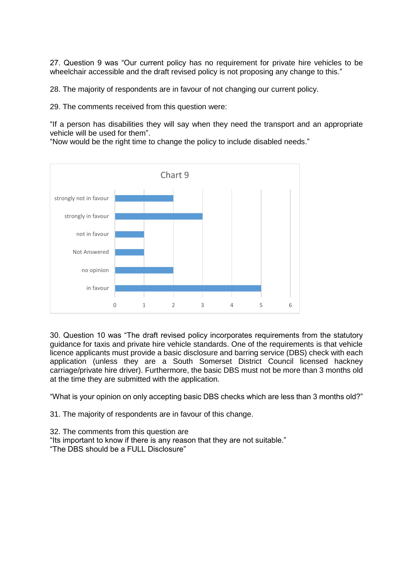27. Question 9 was "Our current policy has no requirement for private hire vehicles to be wheelchair accessible and the draft revised policy is not proposing any change to this."

28. The majority of respondents are in favour of not changing our current policy.

29. The comments received from this question were:

"If a person has disabilities they will say when they need the transport and an appropriate vehicle will be used for them".

"Now would be the right time to change the policy to include disabled needs."



30. Question 10 was "The draft revised policy incorporates requirements from the statutory guidance for taxis and private hire vehicle standards. One of the requirements is that vehicle licence applicants must provide a basic disclosure and barring service (DBS) check with each application (unless they are a South Somerset District Council licensed hackney carriage/private hire driver). Furthermore, the basic DBS must not be more than 3 months old at the time they are submitted with the application.

"What is your opinion on only accepting basic DBS checks which are less than 3 months old?"

31. The majority of respondents are in favour of this change.

32. The comments from this question are "Its important to know if there is any reason that they are not suitable." "The DBS should be a FULL Disclosure"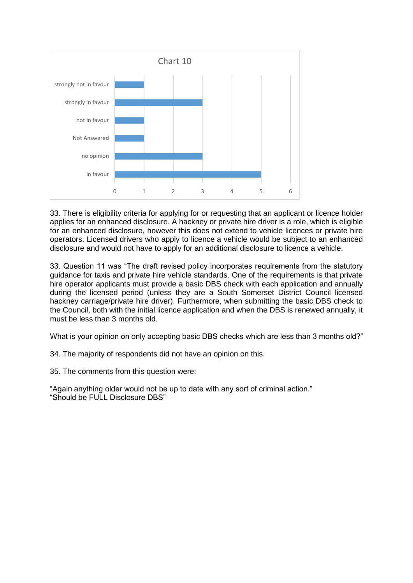

33. There is eligibility criteria for applying for or requesting that an applicant or licence holder applies for an enhanced disclosure. A hackney or private hire driver is a role, which is eligible for an enhanced disclosure, however this does not extend to vehicle licences or private hire operators. Licensed drivers who apply to licence a vehicle would be subject to an enhanced disclosure and would not have to apply for an additional disclosure to licence a vehicle.

33. Question 11 was "The draft revised policy incorporates requirements from the statutory guidance for taxis and private hire vehicle standards. One of the requirements is that private hire operator applicants must provide a basic DBS check with each application and annually during the licensed period (unless they are a South Somerset District Council licensed hackney carriage/private hire driver). Furthermore, when submitting the basic DBS check to the Council, both with the initial licence application and when the DBS is renewed annually, it must be less than 3 months old.

What is your opinion on only accepting basic DBS checks which are less than 3 months old?"

34. The majority of respondents did not have an opinion on this.

35. The comments from this question were:

"Again anything older would not be up to date with any sort of criminal action." "Should be FULL Disclosure DBS"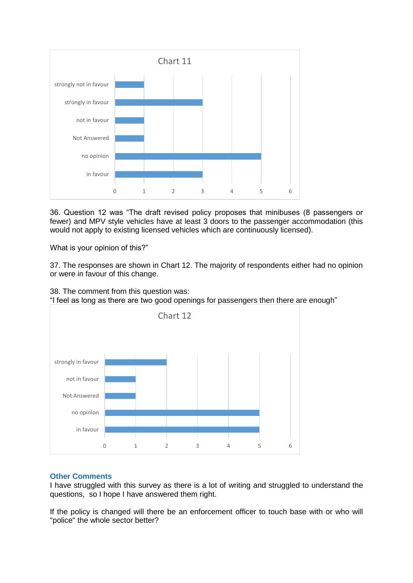

36. Question 12 was "The draft revised policy proposes that minibuses (8 passengers or fewer) and MPV style vehicles have at least 3 doors to the passenger accommodation (this would not apply to existing licensed vehicles which are continuously licensed).

What is your opinion of this?"

37. The responses are shown in Chart 12. The majority of respondents either had no opinion or were in favour of this change.





## **Other Comments**

I have struggled with this survey as there is a lot of writing and struggled to understand the questions, so I hope I have answered them right.

If the policy is changed will there be an enforcement officer to touch base with or who will "police" the whole sector better?